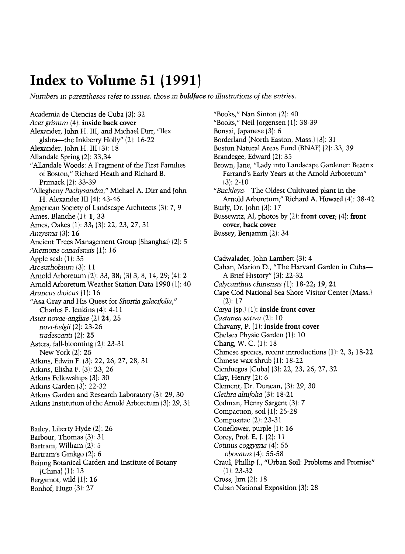## Index to Volume 51 (1991)

Numbers in parentheses refer to issues, those in **boldface** to illustrations of the entries.

Academia de Ciencias de Cuba (3): 32 Acer grisium (4): inside back cover Alexander, John H. III, and Michael Dirr, "Ilex glabra-the Inkberry Holly" (2): 16-22 Alexander, John H. III (3): 18 Allandale Spring (2): 33,34 "Allandale Woods: A Fragment of the First Families of Boston," Richard Heath and Richard B. Pnmack (2): 33-39 "Allegheny Pachysandra," Michael A. Dirr and John H. Alexander III (4): 43-46 American Society of Landscape Architects (3): 7, 9 Ames, Blanche (1): 1, 33 Ames, Oakes (1): 33; (3): 22, 23, 27, 31 Amyema (3): 16 Ancient Trees Management Group (Shanghai) (2): 5 Anemone canadensis (1): 16 Apple scab (1): 35 Arceuthobium (3): 11 Arnold Arboretum (2): 33, 38; (3) 3, 8, 14, 29; (4): 2 Arnold Arboretum Weather Station Data 1990 (1): 40 Aruncus dioicus (1): 16 "Asa Gray and His Quest for Shortia galacifolia," Charles F. Jenkins (4): 4-11 Aster novae-angliae (2) 24, 25 novi-belgii (2): 23-26 tradescanti  $(2)$ : 25 Asters, fall-blooming (2): 23-31 New York (2): 25 Atkins, Edwin F. (3): 22, 26, 27, 28, 31 Atkins, Elisha F. (3): 23, 26 Atkins Fellowships (3): 30 Atkins Garden (3): 22-32 Atkins Garden and Research Laboratory (3): 29, 30 Atkins Institution of the Arnold Arboretum (3): 29, 31

Bailey, Liberty Hyde (2): 26 Barbour, Thomas (3): 31 Bartram, William (2): 5 Bartram's Ginkgo (2): 6 Beijing Botanical Garden and Institute of Botany (China) (1): 13 Bergamot, wild (1): 16 Bonhof, Hugo (3): 27

"Books," Nan Sinton (2): 40 "Books," Neil Jorgensen (1): 38-39 Bonsai, Japanese (3): 6 Borderland (North Easton, Mass.) (3): 31 Boston Natural Areas Fund (BNAF) (2): 33, 39 Brandegee, Edward (2): 35 Brown, Jane, "Lady into Landscape Gardener: Beatrix Farrand's Early Years at the Arnold Arboretum" (3): 2-10 "Buckleya-The Oldest Cultivated plant in the Arnold Arboretum," Richard A. Howard (4): 38-42 Burly, Dr. John (3): 17 Bussewitz, Al, photos by  $(2)$ : front cover;  $(4)$ : front cover, back cover Bussey, Benjamin (2): 34

Cadwalader, John Lambert (3): 4 Cahan, Marion D., "The Harvard Garden in Cuba-A Brief History" (3): 22-32 Calycanthus chinensis  $(1)$ : 18-22; 19, 21 Cape Cod National Sea Shore Visitor Center (Mass.) (2): 17 Carya (sp.) (1): inside front cover Castanea sativa (2): 10 Chavany, P. (1): inside front cover Chelsea Physic Garden (1): 10 Chang, W. C. (1): 18 Chinese species, recent introductions (1): 2, 3; 18-22 Chinese wax shrub  $(1)$ : 18-22 Cienfuegos (Cuba) (3): 22, 23, 26, 27, 32 Clay, Henry (2): 6 Clement, Dr. Duncan, (3): 29, 30 Clethra almfoha (3): 18-21 Codman, Henry Sargent (3): 7 Compaction, soil (1): 25-28 Compositae (2): 23-31 Coneflower, purple (1): 16 Corey, Prof. E. J. (2): 11 Cotinus coggygna (4): 55 obovatus (4): 55-58 Craul, Phillip J., "Urban Soil: Problems and Promise" (1): 23-32 Cross, Jim (2): 18 Cuban National Exposition (3): 28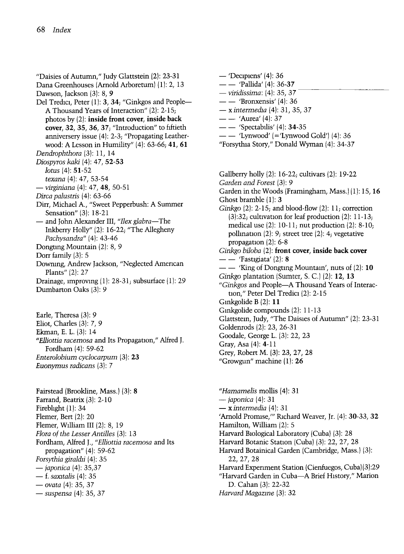"Daisies of Autumn," Judy Glattstein (2): 23-31 Dana Greenhouses (Arnold Arboretum) (1): 2, 13 Dawson, Jackson (3): 8, 9 Del Tredici, Peter (1): 3, 34; "Ginkgos and People-A Thousand Years of Interaction" (2): 2-15; photos by (2): inside front cover, inside back cover, 32, 35, 36, 37; "Introduction" to fiftieth anniversery issue (4): 2-3; "Propagating Leatherwood: A Lesson in Humility" (4): 63-66; 41, 61 Dendrophthora (3): 11, 14 Diospyros kaki (4): 47, 52-53 lotus (4): 51-52 texana (4): 47, 53-54 - virginiana (4): 47, 48, 50-51 Dirca palustris (4): 63-66 Dirr, Michael A., "Sweet Pepperbush: A Summer Sensation" (3): 18-21 - and John Alexander III, "Ilex glabra-The Inkberry Holly" (2): 16-22; "The Allegheny Pachysandra" (4): 43-46 Dongting Mountain (2): 8, 9 Dorr family (3): 5 Downing, Andrew Jackson, "Neglected American Plants" (2): 27 Drainage, improving (1): 28-31; subsurface (1): 29 Dumbarton Oaks (3): 9

Earle, Theresa (3): 9 Eliot, Charles (3): 7, 9 Ekman, E. L. (3): 14 "Elliottia racemosa and Its Propagation," Alfred J. Fordham (4): 59-62 Enterolobium cyclocarpum (3): 23 Euonymus radicans (3): 7

Fairstead (Brookline, Mass.) (3): 8 Farrand, Beatrix (3): 2-10 Fireblight (1): 34 Flemer, Bert (2): 20 Flemer, William III (2): 8, 19 Flora of the Lesser Antilles (3): 13 Fordham, Alfred J., "Elliottia racemosa and Its propagation" (4): 59-62 Forsythia giraldii (4): 35 - *japonica* (4): 35,37<br>- f. *saxitalis* (4): 35  $-$  ovata (4): 35, 37  $-$  ovala  $(4)$ : 35, 37<br> $-$  suspensa  $(4)$ : 35, 37

 $-$  'Decipiens' (4): 36  $-$  'Pallida' (4): 36-37 — *viridissima*: (4): 35, 37 — — 'Pallida' (4): 36-37<br>— *viridissima*: (4): 35, 37<br>— — 'Bronxensis' (4): 36  $-$  x intermedia (4): 31, 35, 37  $-- 'Aurea' (4): 37$  $--$  'Spectabilis' (4): 34-35  $-$  'Lynwood' (='Lynwood Gold') (4): 36 "Forsythia Story," Donald Wyman (4): 34-37 Gallberry holly (2): 16-22; cultivars (2): 19-22 Garden and Forest (3): 9 Garden in the Woods (Framingham, Mass.) (1): 15, 16 Ghost bramble  $(1)$ : 3 Ginkgo  $(2)$ : 2-15; and blood-flow  $(2)$ : 11; correction (3):32; cultivation for leaf production (2): 11-13; medical use  $(2)$ : 10-11; nut production  $(2)$ : 8-10; pollination (2): 9; street tree (2): 4; vegetative propagation (2): 6-8 Ginkgo biloba (2): front cover, inside back cover  $--$  'Fastigiata' (2): 8  $-$  King of Dongting Mountain', nuts of (2): 10 Ginkgo plantation (Sumter, S. C.) (2): 12, 13 "Ginkgos and People-A Thousand Years of Interaction," Peter Del Tredici (2): 2-15 Ginkgolide B (2): 11 Ginkgolide compounds (2): 11-13 Glattstein, Judy, "The Daisies of Autumn" (2): 23-31 Goldenrods (2): 23, 26-31 Goodale, George L. (3): 22, 23 Gray, Asa (4): 4-11 Grey, Robert M. (3): 23, 27, 28 "Growgun" machine (1): 26

"Hamamelis mollis (4): 31  $-$  japonica  $(4)$ : 31  $\rightarrow$  x intermedia (4): 31 'Arnold Promise,'" Richard Weaver, Jr. (4): 30-33, 32 Hamilton, William (2): 5 Harvard Biological Laboratory (Cuba) (3): 28 Harvard Botanic Station (Cuba) (3): 22, 27, 28 Harvard Botainical Garden (Cambridge, Mass.) (3): 22,27,28 Harvard Experiment Station (Cienfuegos, Cuba)(3):29 "Harvard Garden in Cuba-A Brief History," Marion D. Cahan (3): 22-32 Harvard Magazine (3): 32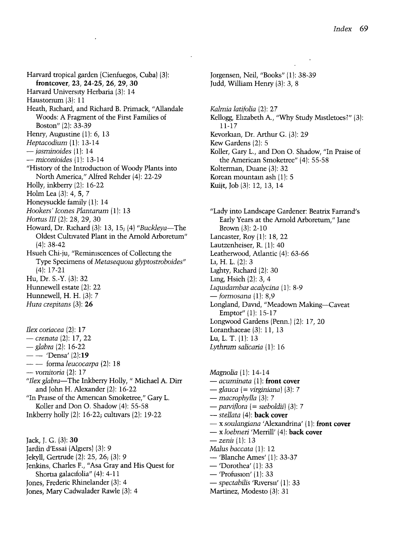Harvard tropical garden (Cienfuegos, Cuba) (3): frontcover, 23, 24-25, 26, 29, 30 Harvard University Herbaria (3): 14 Haustorium (3): 11 Heath, Richard, and Richard B. Primack, "Allandale Woods: A Fragment of the First Families of Boston" (2): 33-39 Henry, Augustine (1): 6, 13<br>Heptacodium (1): 13-14  $-$  jasminoides (1): 14<br>  $-$  miconioides (1): 13-14 "History of the Introduction of Woody Plants into North America," Alfred Rehder (4): 22-29 Holly, inkberry (2): 16-22 Holm Lea (3): 4, 5, 7 Honeysuckle family (1): 14 Hookers' Icones Plantarum (1): 13 Hortus III (2): 28, 29, 30 Howard, Dr. Richard (3): 13, 15; (4) "Buckleya-The Oldest Cultivated Plant in the Arnold Arboretum" (4): 38-42 Hsueh Chi-ju, "Reminiscences of Collecting the Type Specimens of Metasequoia glyptostroboides" (4): 17-21 Hu, Dr. S.-Y. (3): 32 Hunnewell estate (2): 22 Hunnewell, H. H. 13): 7 Hura crepitans (3): 26 Ilex coriacea (2): 17

- *crenata* (2): 17, 22<br>- *glabra* (2): 16-22
- 
- $--$  'Densa' (2):19
- $-$  forma leucocarpa (2): 18
- $-$  vomitoria  $(2)$ : 17
- "Ilex glabra-The Inkberry Holly, " Michael A. Dirr and John H. Alexander (2): 16-22
- "In Praise of the American Smoketree," Gary L. Koller and Don O. Shadow (4): 55-58
- Inkberry holly (2): 16-22; cultivars (2): 19-22

Jack, J. G. (3): 30 Jardin d'Essai (Algiers) (3): 9 Jekyll, Gertrude (2): 25, 26; (3): 9 Jenkins, Charles F., "Asa Gray and His Quest for Shortia galacifolia" (4): 4-11 Jones, Frederic Rhinelander (3): 4

Jones, Mary Cadwalader Rawle (3): 4

Jorgensen, Neil, "Books" (1): 38-39 Judd, William Henry (3): 3, 8

Kalmia latifolia (2): 27 Kellogg, Elizabeth A., "Why Study Mistletoes?" (3): 11-17 Kevorkian, Dr. Arthur G. (3): 29 Kew Gardens (2): 5 Koller, Gary L., and Don O. Shadow, "In Praise of the American Smoketree" (4): 55-58

Kolterman, Duane (3): 32

Korean mountain ash  $(1)$ : 5

Kuijt, Job (3): 12, 13, 14

"Lady into Landscape Gardener: Beatrix Farrand's Early Years at the Arnold Arboretum," Jane Brown (3): 2-10 Lancaster, Roy (1): 18, 22 Lautzenheiser, R. (1): 40 Leatherwood, Atlantic (4): 63-66 Li, H. L. (2): 3 Lighty, Richard (2): 30 Ling, Hsieh (2): 3, 4<br>Liquidambar acalycina (1): 8-9  $-$  formosana (1): 8,9 Longland, David, "Meadown Making-Caveat Emptor"(l): 15-17 Longwood Gardens (Penn.) (2): 17, 20 Loranthaceae (3): 11, 13 Lu, L. T. (1): 13 Lythrum salicaria (1): 16

Magnolia  $(1)$ : 14-14<br>
— acuminata  $(1)$ : **front cover**  $-$  glauca (= virginiana) (3): 7  $-$  macrophylla (3): 7  $-$  parviflora (= sieboldii) (3): 7 - stellata (4): back cover - x soulangiana 'Alexandrina' (1): front cover  $-x$  loebneri 'Merrill' (4): back cover  $-$  zenii (1): 13 *Malus baccata* (1): 12<br>- 'Blanche Ames' (1): 33-37 - 'Dorothea' (1): 33<br>- 'Profusion' (1): 33<br>- spectabilis 'Ruversii' (1): 33

Martinez, Modesto (3): 31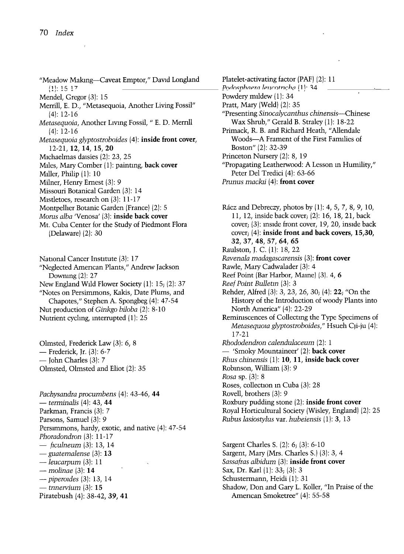- "Meadow Making-Caveat Emptor," David Longland /I I- H 17 \_\_\_\_\_\_\_\_\_\_\_\_\_\_\_\_\_\_\_\_\_\_\_ re ^ ~ ^ Mendel, Gregor (3): 15 Merrill, E. D., "Metasequoia, Another Living Fossil" (4): 12-16 Metasequoia, Another Living Fossil, " E. D. Merrill (4): 12-16 Metasequoia glyptostroboides (4): inside front cover, 12-21, 12, 14, 15, 20 Michaelmas daisies (2): 23, 25 Miles, Mary Comber (1): painting, back cover Miller, Philip (1): 10 Milner, Henry Ernest (3): 9 Missouri Botanical Garden (3): 14 Mistletoes, research on (3): 11-17 Montpelher Botanic Garden (France) (2): 5
- Morus alba 'Venosa' (3): inside back cover
- Mt. Cuba Center for the Study of Piedmont Flora (Delaware) (2): 30

National Cancer Institute (3): 17 "Neglected American Plants," Andrew Jackson Downing  $(2)$ : 27 New England Wild Flower Society (1): 15; (2): 37 "Notes on Persimmons, Kakis, Date Plums, and Chapotes," Stephen A. Spongbeg (4): 47-54 Nut production of Ginkgo biloba (2): 8-10 Nutrient cycling, interrupted (1): 25

Olmsted, Frederick Law (3): 6, 8 - Frederick, Jr. (3): 6-7  $-$  John Charles (3): 7 Olmsted, Olmsted and Eliot (2): 35

Pachysandra procumbens (4): 43-46, 44  $-$  terminalis (4): 43, 44 Parkman, Francis (3): 7 Parsons, Samuel (3): 9 Persimmons, hardy, exotic, and native (4): 47-54 Phoradondron (3): 11-17  $-$  ficulneum (3): 13, 14  $-$  guatemalense (3): 13  $-$  leucarpum (3): 11  $-$  molinae (3): 14  $-$  piperoides  $(3)$ : 13, 14  $-$  trinervium  $(3)$ : 15 Piratebush (4): 38-42, 39, 41

Platelet-activating factor (PAF) (2): 11 \_\_\_\_ Podosphaera lencotricha (1)· Powdery mildew (1): 34  $\begin{array}{c}\n 34 \\
 -34\n \end{array}$ Pratt, Mary (Weld) (2): 35 "Presenting Sinocalycanthus chinensis-Chinese Wax Shrub," Gerald B. Straley (1): 18-22 Primack, R. B. and Richard Heath, "Allendale Woods-A Frament of the First Families of Boston" (2): 32-39 Princeton Nursery (2): 8, 19 "Propagating Leatherwood: A Lesson in Humility," Peter Del Tredici (4): 63-66

Prunus mackii (4): front cover

Rácz and Debreczy, photos by  $(1)$ : 4, 5, 7, 8, 9, 10, 11, 12, inside back cover; (2): 16, 18, 21, back cover; (3): inside front cover, 19, 20, inside back cover; (4): inside front and back covers, 15,30, 32, 37, 48, 57, 64, 65 Raulston, J. C. (1): 18, 22 Ravenala madagascarensis (3): front cover Rawle, Mary Cadwalader (3): 4 Reef Point (Bar Harbor, Maine) (3). 4, 6 Reef Point Bulletin (3): 3 Rehder, Alfred (3): 3, 23, 26, 30; (4): 22; "On the History of the Introduction of woody Plants into North America" (4): 22-29 Reminiscences of Collecting the Type Specimens of Metasequoia glyptostroboides," Hsueh Qi-ju (4): 17-21 Rhododendron calendulaceum (2): 1 - 'Smoky Mountaineer' (2): back cover Rhus chinensis (1): 10, 11, inside back cover Robinson, William (3): 9 Rosa sp. (3): 8 Roses, collection in Cuba (3): 28 Rovell, brothers (3): 9 Roxbury pudding stone (2): inside front cover Royal Horticultural Society (Wisley, England) (2): 25 Rubus lasiostylus var. hubeiensis 1): 3, 13

Sargent Charles S. (2): 6; (3): 6-10 Sargent, Mary (Mrs. Charles S.) (3): 3, 4 Sassafras albidum (3): inside front cover Sax, Dr. Karl (1): 33; (3): 3 Schustermann, Heidi (1): 31 Shadow, Don and Gary L. Koller, "In Praise of the American Smoketree" (4): 55-58